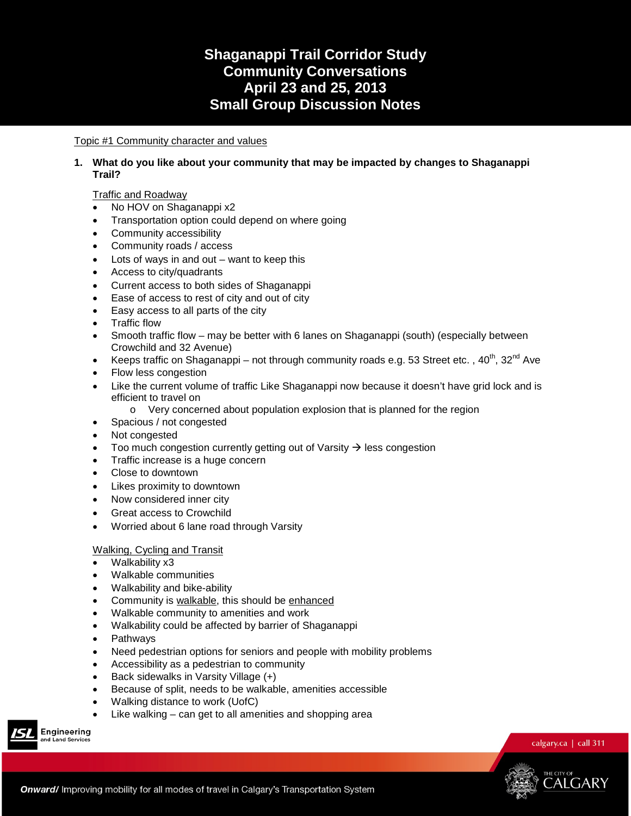# **Shaganappi Trail Corridor Study Community Conversations April 23 and 25, 2013 Small Group Discussion Notes**

### Topic #1 Community character and values

### **1. What do you like about your community that may be impacted by changes to Shaganappi Trail?**

### Traffic and Roadway

- No HOV on Shaganappi x2
- Transportation option could depend on where going
- Community accessibility
- Community roads / access
- Lots of ways in and out want to keep this
- Access to city/quadrants
- Current access to both sides of Shaganappi
- Ease of access to rest of city and out of city
- Easy access to all parts of the city
- Traffic flow
- Smooth traffic flow may be better with 6 lanes on Shaganappi (south) (especially between Crowchild and 32 Avenue)
- Keeps traffic on Shaganappi not through community roads e.g. 53 Street etc.,  $40^{th}$ ,  $32^{nd}$  Ave
- Flow less congestion
- Like the current volume of traffic Like Shaganappi now because it doesn't have grid lock and is efficient to travel on
	- o Very concerned about population explosion that is planned for the region
- Spacious / not congested
- Not congested
- Too much congestion currently getting out of Varsity  $\rightarrow$  less congestion
- Traffic increase is a huge concern
- Close to downtown
- Likes proximity to downtown
- Now considered inner city
- Great access to Crowchild
- Worried about 6 lane road through Varsity

### Walking, Cycling and Transit

- Walkability x3
- Walkable communities
- Walkability and bike-ability
- Community is walkable, this should be enhanced
- Walkable community to amenities and work
- Walkability could be affected by barrier of Shaganappi
- Pathways
- Need pedestrian options for seniors and people with mobility problems
- Accessibility as a pedestrian to community
- Back sidewalks in Varsity Village (+)
- Because of split, needs to be walkable, amenities accessible
- Walking distance to work (UofC)
- Like walking  $-$  can get to all amenities and shopping area



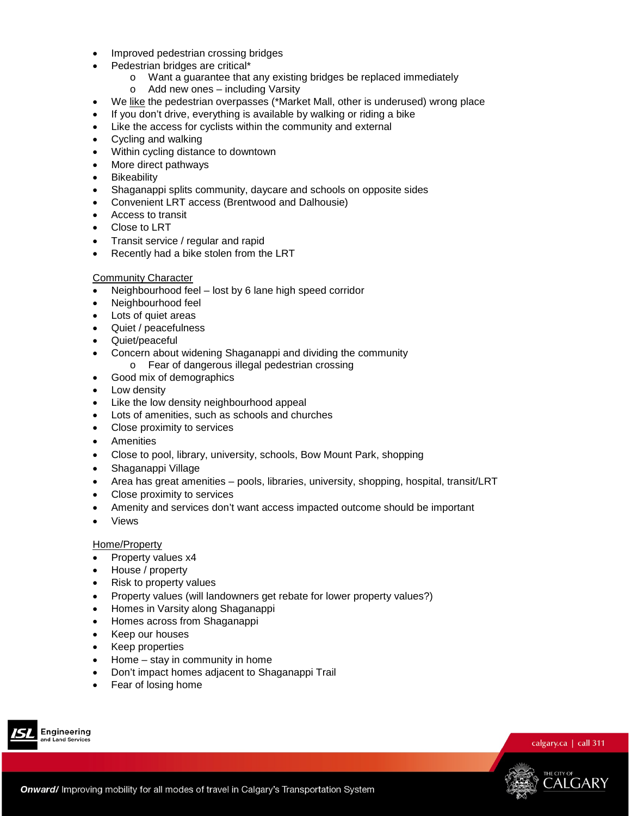- Improved pedestrian crossing bridges
- Pedestrian bridges are critical\*
	- o Want a guarantee that any existing bridges be replaced immediately
	- o Add new ones including Varsity
- We like the pedestrian overpasses (\*Market Mall, other is underused) wrong place
- If you don't drive, everything is available by walking or riding a bike
- Like the access for cyclists within the community and external
- Cycling and walking
- Within cycling distance to downtown
- More direct pathways
- Bikeability
- Shaganappi splits community, daycare and schools on opposite sides
- Convenient LRT access (Brentwood and Dalhousie)
- Access to transit
- Close to LRT
- Transit service / regular and rapid
- Recently had a bike stolen from the LRT

### **Community Character**

- Neighbourhood feel lost by 6 lane high speed corridor
- Neighbourhood feel
- Lots of quiet areas
- Quiet / peacefulness
- Quiet/peaceful
- Concern about widening Shaganappi and dividing the community
	- o Fear of dangerous illegal pedestrian crossing
- Good mix of demographics
- Low density
- Like the low density neighbourhood appeal
- Lots of amenities, such as schools and churches
- Close proximity to services
- Amenities
- Close to pool, library, university, schools, Bow Mount Park, shopping
- Shaganappi Village
- Area has great amenities pools, libraries, university, shopping, hospital, transit/LRT
- Close proximity to services
- Amenity and services don't want access impacted outcome should be important
- **Views**

### Home/Property

- Property values x4
- House / property
- Risk to property values
- Property values (will landowners get rebate for lower property values?)
- Homes in Varsity along Shaganappi
- Homes across from Shaganappi
- Keep our houses
- Keep properties
- Home stay in community in home
- Don't impact homes adjacent to Shaganappi Trail
- Fear of losing home





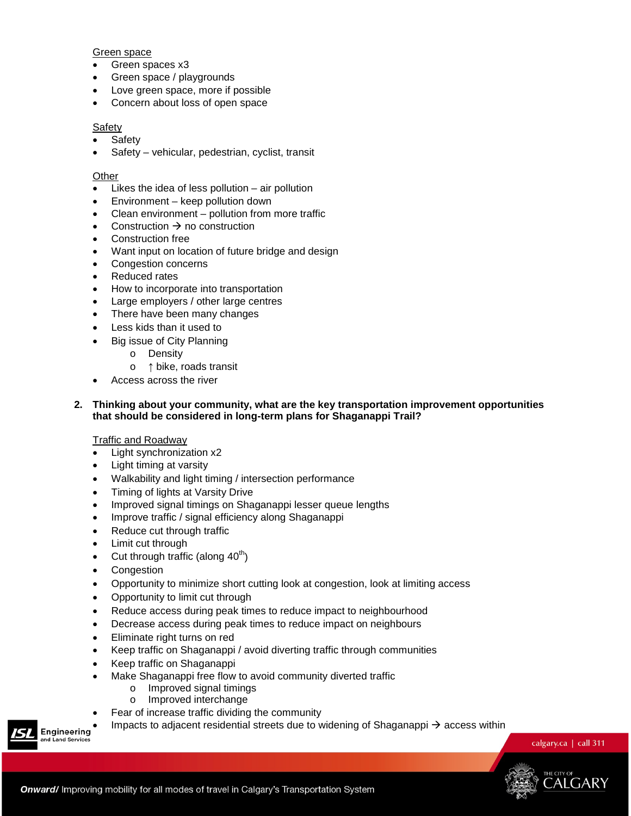### Green space

- Green spaces x3
- Green space / playgrounds
- Love green space, more if possible
- Concern about loss of open space

### Safety

- **Safety**
- Safety vehicular, pedestrian, cyclist, transit

#### **Other**

- Likes the idea of less pollution air pollution
- Environment keep pollution down
- Clean environment pollution from more traffic
- Construction  $\rightarrow$  no construction
- Construction free
- Want input on location of future bridge and design
- Congestion concerns
- Reduced rates
- How to incorporate into transportation
- Large employers / other large centres
- There have been many changes
- Less kids than it used to
- Big issue of City Planning
	- o Density
	- o ↑ bike, roads transit
- Access across the river

**2. Thinking about your community, what are the key transportation improvement opportunities that should be considered in long-term plans for Shaganappi Trail?** 

### Traffic and Roadway

- Light synchronization x2
- Light timing at varsity
- Walkability and light timing / intersection performance
- Timing of lights at Varsity Drive
- Improved signal timings on Shaganappi lesser queue lengths
- Improve traffic / signal efficiency along Shaganappi
- Reduce cut through traffic
- Limit cut through
- Cut through traffic (along  $40^{th}$ )
- Congestion
- Opportunity to minimize short cutting look at congestion, look at limiting access
- Opportunity to limit cut through
- Reduce access during peak times to reduce impact to neighbourhood
- Decrease access during peak times to reduce impact on neighbours
- Eliminate right turns on red
- Keep traffic on Shaganappi / avoid diverting traffic through communities
- Keep traffic on Shaganappi
- Make Shaganappi free flow to avoid community diverted traffic
	- o Improved signal timings<br>o Improved interchange
	- Improved interchange
- Fear of increase traffic dividing the community
- Impacts to adjacent residential streets due to widening of Shaganappi  $\rightarrow$  access within

Engineering



calgary.ca | call 311

Onward/ Improving mobility for all modes of travel in Calgary's Transportation System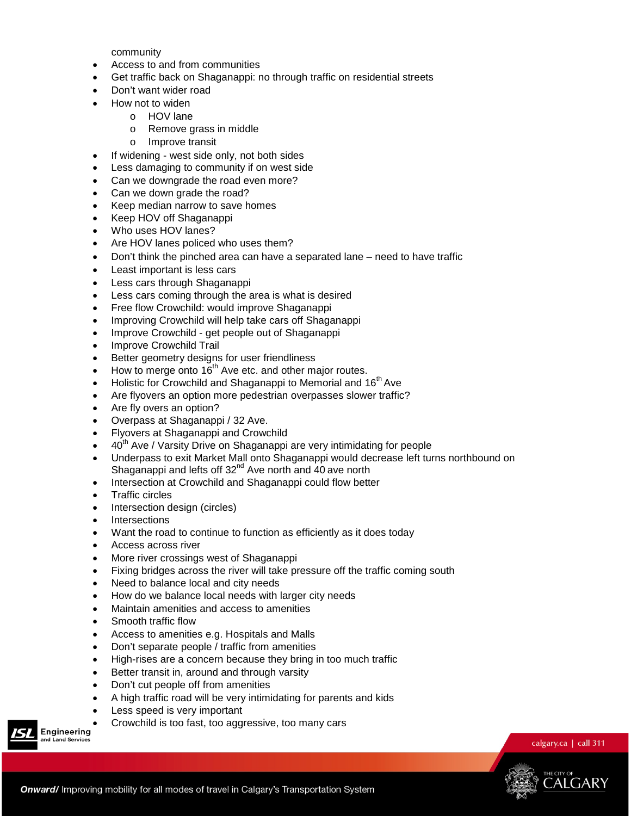community

- Access to and from communities
- Get traffic back on Shaganappi: no through traffic on residential streets
- Don't want wider road
- How not to widen
	- o HOV lane
	- o Remove grass in middle
	- o Improve transit
- If widening west side only, not both sides
- Less damaging to community if on west side
- Can we downgrade the road even more?
- Can we down grade the road?
- Keep median narrow to save homes
- Keep HOV off Shaganappi
- Who uses HOV lanes?
- Are HOV lanes policed who uses them?
- Don't think the pinched area can have a separated lane need to have traffic
- Least important is less cars
- Less cars through Shaganappi
- Less cars coming through the area is what is desired
- Free flow Crowchild: would improve Shaganappi
- Improving Crowchild will help take cars off Shaganappi
- Improve Crowchild get people out of Shaganappi
- Improve Crowchild Trail
- Better geometry designs for user friendliness
- $\bullet$  How to merge onto 16<sup>th</sup> Ave etc. and other major routes.
- Holistic for Crowchild and Shaganappi to Memorial and  $16<sup>th</sup>$  Ave
- Are flyovers an option more pedestrian overpasses slower traffic?
- Are fly overs an option?
- Overpass at Shaganappi / 32 Ave.
- Flyovers at Shaganappi and Crowchild
- $40<sup>th</sup>$  Ave / Varsity Drive on Shaganappi are very intimidating for people
- Underpass to exit Market Mall onto Shaganappi would decrease left turns northbound on Shaganappi and lefts off 32<sup>nd</sup> Ave north and 40 ave north
- Intersection at Crowchild and Shaganappi could flow better
- Traffic circles
- Intersection design (circles)
- Intersections
- Want the road to continue to function as efficiently as it does today
- Access across river
- More river crossings west of Shaganappi
- Fixing bridges across the river will take pressure off the traffic coming south
- Need to balance local and city needs
- How do we balance local needs with larger city needs
- Maintain amenities and access to amenities
- Smooth traffic flow
- Access to amenities e.g. Hospitals and Malls
- Don't separate people / traffic from amenities
- High-rises are a concern because they bring in too much traffic
- Better transit in, around and through varsity
- Don't cut people off from amenities
- A high traffic road will be very intimidating for parents and kids
- Less speed is very important
- Crowchild is too fast, too aggressive, too many cars

Engineering

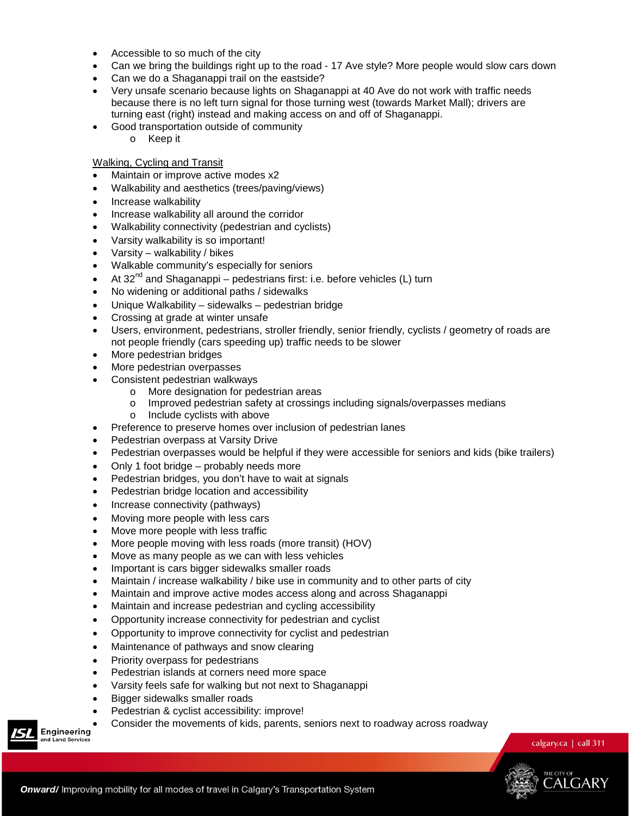- Accessible to so much of the city
- Can we bring the buildings right up to the road 17 Ave style? More people would slow cars down
- Can we do a Shaganappi trail on the eastside?
- Very unsafe scenario because lights on Shaganappi at 40 Ave do not work with traffic needs because there is no left turn signal for those turning west (towards Market Mall); drivers are turning east (right) instead and making access on and off of Shaganappi.
- Good transportation outside of community
	- o Keep it

### Walking, Cycling and Transit

- Maintain or improve active modes x2
- Walkability and aesthetics (trees/paving/views)
- Increase walkability
- Increase walkability all around the corridor
- Walkability connectivity (pedestrian and cyclists)
- Varsity walkability is so important!
- Varsity walkability / bikes
- Walkable community's especially for seniors
- At  $32<sup>nd</sup>$  and Shaganappi pedestrians first: i.e. before vehicles (L) turn
- No widening or additional paths / sidewalks
- Unique Walkability sidewalks pedestrian bridge
- Crossing at grade at winter unsafe
- Users, environment, pedestrians, stroller friendly, senior friendly, cyclists / geometry of roads are not people friendly (cars speeding up) traffic needs to be slower
- More pedestrian bridges
- More pedestrian overpasses
- Consistent pedestrian walkways
	- o More designation for pedestrian areas
	- o Improved pedestrian safety at crossings including signals/overpasses medians
	- o Include cyclists with above
- Preference to preserve homes over inclusion of pedestrian lanes
- Pedestrian overpass at Varsity Drive
- Pedestrian overpasses would be helpful if they were accessible for seniors and kids (bike trailers)
- Only 1 foot bridge probably needs more
- Pedestrian bridges, you don't have to wait at signals
- Pedestrian bridge location and accessibility
- Increase connectivity (pathways)
- Moving more people with less cars
- Move more people with less traffic
- More people moving with less roads (more transit) (HOV)
- Move as many people as we can with less vehicles
- Important is cars bigger sidewalks smaller roads
- Maintain / increase walkability / bike use in community and to other parts of city
- Maintain and improve active modes access along and across Shaganappi
- Maintain and increase pedestrian and cycling accessibility
- Opportunity increase connectivity for pedestrian and cyclist
- Opportunity to improve connectivity for cyclist and pedestrian
- Maintenance of pathways and snow clearing
- Priority overpass for pedestrians
- Pedestrian islands at corners need more space
- Varsity feels safe for walking but not next to Shaganappi
- Bigger sidewalks smaller roads
- Pedestrian & cyclist accessibility: improve!
- Consider the movements of kids, parents, seniors next to roadway across roadway

Engineering

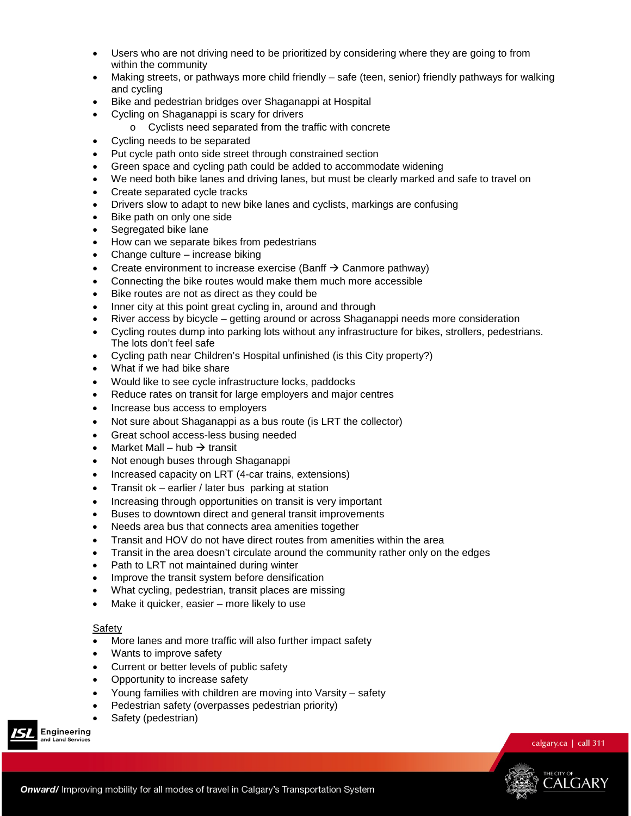- Users who are not driving need to be prioritized by considering where they are going to from within the community
- Making streets, or pathways more child friendly safe (teen, senior) friendly pathways for walking and cycling
- Bike and pedestrian bridges over Shaganappi at Hospital
- Cycling on Shaganappi is scary for drivers
	- o Cyclists need separated from the traffic with concrete
- Cycling needs to be separated
- Put cycle path onto side street through constrained section
- Green space and cycling path could be added to accommodate widening
- We need both bike lanes and driving lanes, but must be clearly marked and safe to travel on
- Create separated cycle tracks
- Drivers slow to adapt to new bike lanes and cyclists, markings are confusing
- Bike path on only one side
- Segregated bike lane
- How can we separate bikes from pedestrians
- Change culture increase biking
- Create environment to increase exercise (Banff  $\rightarrow$  Canmore pathway)
- Connecting the bike routes would make them much more accessible
- Bike routes are not as direct as they could be
- Inner city at this point great cycling in, around and through
- River access by bicycle getting around or across Shaganappi needs more consideration
- Cycling routes dump into parking lots without any infrastructure for bikes, strollers, pedestrians. The lots don't feel safe
- Cycling path near Children's Hospital unfinished (is this City property?)
- What if we had bike share
- Would like to see cycle infrastructure locks, paddocks
- Reduce rates on transit for large employers and major centres
- Increase bus access to employers
- Not sure about Shaganappi as a bus route (is LRT the collector)
- Great school access-less busing needed
- Market Mall hub  $\rightarrow$  transit
- Not enough buses through Shaganappi
- Increased capacity on LRT (4-car trains, extensions)
- Transit ok earlier / later bus parking at station
- Increasing through opportunities on transit is very important
- Buses to downtown direct and general transit improvements
- Needs area bus that connects area amenities together
- Transit and HOV do not have direct routes from amenities within the area
- Transit in the area doesn't circulate around the community rather only on the edges
- Path to LRT not maintained during winter
- Improve the transit system before densification
- What cycling, pedestrian, transit places are missing
- Make it quicker, easier more likely to use

### Safety

- More lanes and more traffic will also further impact safety
- Wants to improve safety
- Current or better levels of public safety
- Opportunity to increase safety
- Young families with children are moving into Varsity safety
- Pedestrian safety (overpasses pedestrian priority)
- Safety (pedestrian)



Engineering



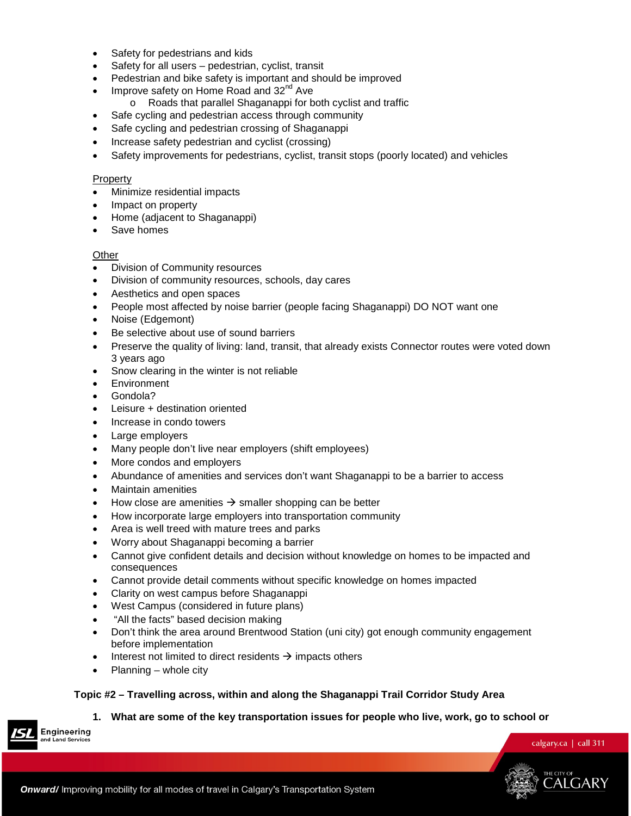- Safety for pedestrians and kids
- Safety for all users pedestrian, cyclist, transit
- Pedestrian and bike safety is important and should be improved
- Improve safety on Home Road and  $32<sup>nd</sup>$  Ave
	- o Roads that parallel Shaganappi for both cyclist and traffic
- Safe cycling and pedestrian access through community
- Safe cycling and pedestrian crossing of Shaganappi
- Increase safety pedestrian and cyclist (crossing)
- Safety improvements for pedestrians, cyclist, transit stops (poorly located) and vehicles

### Property

- Minimize residential impacts
- Impact on property
- Home (adjacent to Shaganappi)
- Save homes

### **Other**

- Division of Community resources
- Division of community resources, schools, day cares
- Aesthetics and open spaces
- People most affected by noise barrier (people facing Shaganappi) DO NOT want one
- Noise (Edgemont)
- Be selective about use of sound barriers
- Preserve the quality of living: land, transit, that already exists Connector routes were voted down 3 years ago
- Snow clearing in the winter is not reliable
- Environment
- Gondola?
- Leisure + destination oriented
- Increase in condo towers
- Large employers
- Many people don't live near employers (shift employees)
- More condos and employers
- Abundance of amenities and services don't want Shaganappi to be a barrier to access
- Maintain amenities
- How close are amenities  $\rightarrow$  smaller shopping can be better
- How incorporate large employers into transportation community
- Area is well treed with mature trees and parks
- Worry about Shaganappi becoming a barrier
- Cannot give confident details and decision without knowledge on homes to be impacted and consequences
- Cannot provide detail comments without specific knowledge on homes impacted
- Clarity on west campus before Shaganappi
- West Campus (considered in future plans)
- "All the facts" based decision making
- Don't think the area around Brentwood Station (uni city) got enough community engagement before implementation
- Interest not limited to direct residents  $\rightarrow$  impacts others
- Planning whole city

### **Topic #2 – Travelling across, within and along the Shaganappi Trail Corridor Study Area**

### **1. What are some of the key transportation issues for people who live, work, go to school or**

Engineering **Land Servic** 

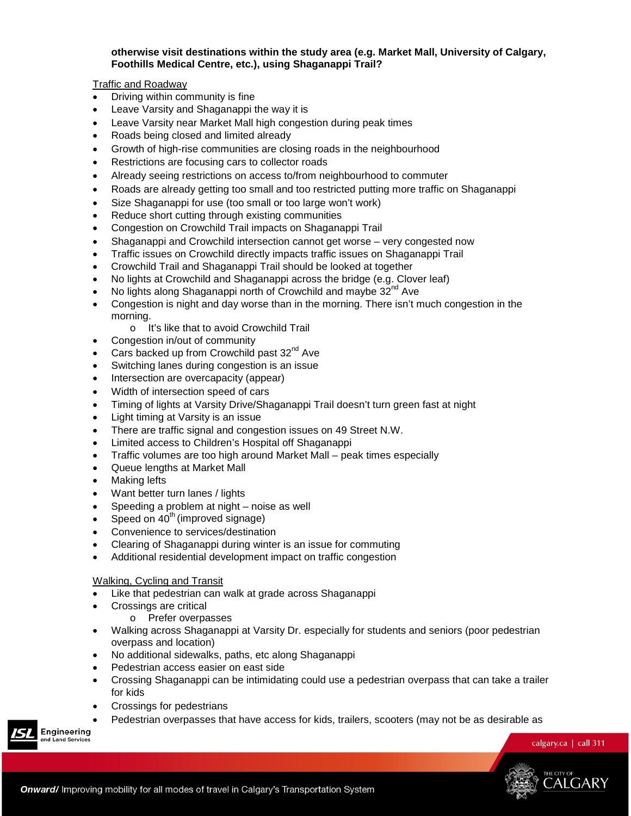### **otherwise visit destinations within the study area (e.g. Market Mall, University of Calgary, Foothills Medical Centre, etc.), using Shaganappi Trail?**

Traffic and Roadway

- Driving within community is fine
- Leave Varsity and Shaganappi the way it is
- Leave Varsity near Market Mall high congestion during peak times
- Roads being closed and limited already
- Growth of high-rise communities are closing roads in the neighbourhood
- Restrictions are focusing cars to collector roads
- Already seeing restrictions on access to/from neighbourhood to commuter
- Roads are already getting too small and too restricted putting more traffic on Shaganappi
- Size Shaganappi for use (too small or too large won't work)
- Reduce short cutting through existing communities
- Congestion on Crowchild Trail impacts on Shaganappi Trail
- Shaganappi and Crowchild intersection cannot get worse very congested now
- Traffic issues on Crowchild directly impacts traffic issues on Shaganappi Trail
- Crowchild Trail and Shaganappi Trail should be looked at together
- No lights at Crowchild and Shaganappi across the bridge (e.g. Clover leaf)
- No lights along Shaganappi north of Crowchild and maybe  $32^{nd}$  Ave
- Congestion is night and day worse than in the morning. There isn't much congestion in the morning.
	- o It's like that to avoid Crowchild Trail
- Congestion in/out of community
- Cars backed up from Crowchild past  $32<sup>nd</sup>$  Ave
- Switching lanes during congestion is an issue
- Intersection are overcapacity (appear)
- Width of intersection speed of cars
- Timing of lights at Varsity Drive/Shaganappi Trail doesn't turn green fast at night
- Light timing at Varsity is an issue
- There are traffic signal and congestion issues on 49 Street N.W.
- Limited access to Children's Hospital off Shaganappi
- Traffic volumes are too high around Market Mall peak times especially
- Queue lengths at Market Mall
- Making lefts
- Want better turn lanes / lights
- Speeding a problem at night noise as well
- Speed on  $40<sup>th</sup>$  (improved signage)
- Convenience to services/destination
- Clearing of Shaganappi during winter is an issue for commuting
- Additional residential development impact on traffic congestion

### Walking, Cycling and Transit

- Like that pedestrian can walk at grade across Shaganappi
- Crossings are critical
	- o Prefer overpasses
- Walking across Shaganappi at Varsity Dr. especially for students and seniors (poor pedestrian overpass and location)
- No additional sidewalks, paths, etc along Shaganappi
- Pedestrian access easier on east side
- Crossing Shaganappi can be intimidating could use a pedestrian overpass that can take a trailer for kids
- Crossings for pedestrians
- Pedestrian overpasses that have access for kids, trailers, scooters (may not be as desirable as

Engineering

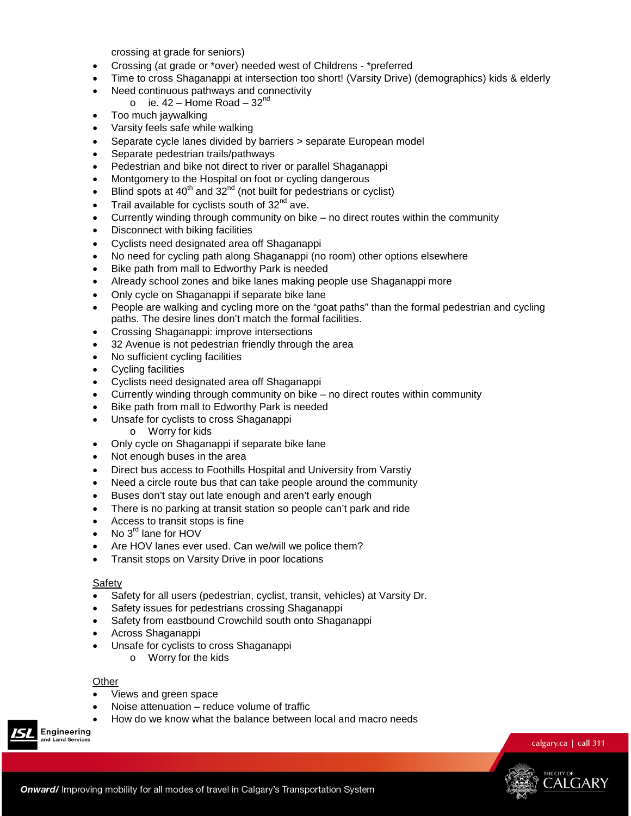crossing at grade for seniors)

- Crossing (at grade or \*over) needed west of Childrens \*preferred
- Time to cross Shaganappi at intersection too short! (Varsity Drive) (demographics) kids & elderly
- Need continuous pathways and connectivity
	- o ie. 42 Home Road  $32<sup>nd</sup>$
- Too much jaywalking
- Varsity feels safe while walking
- Separate cycle lanes divided by barriers > separate European model
- Separate pedestrian trails/pathways
- Pedestrian and bike not direct to river or parallel Shaganappi
- Montgomery to the Hospital on foot or cycling dangerous
- Blind spots at  $40^{th}$  and  $32^{nd}$  (not built for pedestrians or cyclist)
- Trail available for cyclists south of  $32<sup>nd</sup>$  ave.
- Currently winding through community on bike no direct routes within the community
- Disconnect with biking facilities
- Cyclists need designated area off Shaganappi
- No need for cycling path along Shaganappi (no room) other options elsewhere
- Bike path from mall to Edworthy Park is needed
- Already school zones and bike lanes making people use Shaganappi more
- Only cycle on Shaganappi if separate bike lane
- People are walking and cycling more on the "goat paths" than the formal pedestrian and cycling paths. The desire lines don't match the formal facilities.
- Crossing Shaganappi: improve intersections
- 32 Avenue is not pedestrian friendly through the area
- No sufficient cycling facilities
- Cycling facilities
- Cyclists need designated area off Shaganappi
- Currently winding through community on bike no direct routes within community
- Bike path from mall to Edworthy Park is needed
- Unsafe for cyclists to cross Shaganappi
	- o Worry for kids
- Only cycle on Shaganappi if separate bike lane
- Not enough buses in the area
- Direct bus access to Foothills Hospital and University from Varstiy
- Need a circle route bus that can take people around the community
- Buses don't stay out late enough and aren't early enough
- There is no parking at transit station so people can't park and ride
- Access to transit stops is fine
- No  $3^{\text{rd}}$  lane for HOV
- Are HOV lanes ever used. Can we/will we police them?
- Transit stops on Varsity Drive in poor locations

### Safety

- Safety for all users (pedestrian, cyclist, transit, vehicles) at Varsity Dr.
- Safety issues for pedestrians crossing Shaganappi
- Safety from eastbound Crowchild south onto Shaganappi
- Across Shaganappi
- Unsafe for cyclists to cross Shaganappi
	- o Worry for the kids

# **Other**

- Views and green space
- Noise attenuation  $-$  reduce volume of traffic
- How do we know what the balance between local and macro needs

Engineering

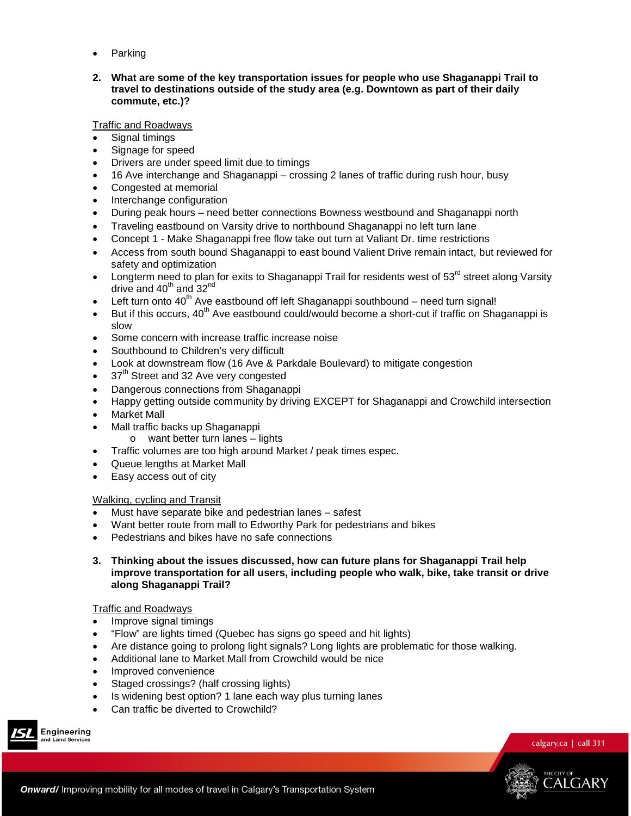- Parking
- **2. What are some of the key transportation issues for people who use Shaganappi Trail to travel to destinations outside of the study area (e.g. Downtown as part of their daily commute, etc.)?**

Traffic and Roadways

- Signal timings
- Signage for speed
- Drivers are under speed limit due to timings
- 16 Ave interchange and Shaganappi crossing 2 lanes of traffic during rush hour, busy
- Congested at memorial
- Interchange configuration
- During peak hours need better connections Bowness westbound and Shaganappi north
- Traveling eastbound on Varsity drive to northbound Shaganappi no left turn lane
- Concept 1 Make Shaganappi free flow take out turn at Valiant Dr. time restrictions
- Access from south bound Shaganappi to east bound Valient Drive remain intact, but reviewed for safety and optimization
- Longterm need to plan for exits to Shaganappi Trail for residents west of  $53<sup>rd</sup>$  street along Varsity drive and 40<sup>th</sup> and 32<sup>nd</sup>
- Left turn onto  $40^{th}$  Ave eastbound off left Shaganappi southbound need turn signal!
- But if this occurs, 40<sup>th</sup> Ave eastbound could/would become a short-cut if traffic on Shaganappi is slow
- Some concern with increase traffic increase noise
- Southbound to Children's very difficult
- Look at downstream flow (16 Ave & Parkdale Boulevard) to mitigate congestion
- $\bullet$  37<sup>th</sup> Street and 32 Ave very congested
- Dangerous connections from Shaganappi
- Happy getting outside community by driving EXCEPT for Shaganappi and Crowchild intersection
- Market Mall
- Mall traffic backs up Shaganappi
	- o want better turn lanes lights
- Traffic volumes are too high around Market / peak times espec.
- Queue lengths at Market Mall
- Easy access out of city

### Walking, cycling and Transit

- Must have separate bike and pedestrian lanes safest
- Want better route from mall to Edworthy Park for pedestrians and bikes
- Pedestrians and bikes have no safe connections
- **3. Thinking about the issues discussed, how can future plans for Shaganappi Trail help improve transportation for all users, including people who walk, bike, take transit or drive along Shaganappi Trail?**

### Traffic and Roadways

- Improve signal timings
- "Flow" are lights timed (Quebec has signs go speed and hit lights)
- Are distance going to prolong light signals? Long lights are problematic for those walking.
- Additional lane to Market Mall from Crowchild would be nice
- Improved convenience
- Staged crossings? (half crossing lights)
- Is widening best option? 1 lane each way plus turning lanes
- Can traffic be diverted to Crowchild?



Engineering

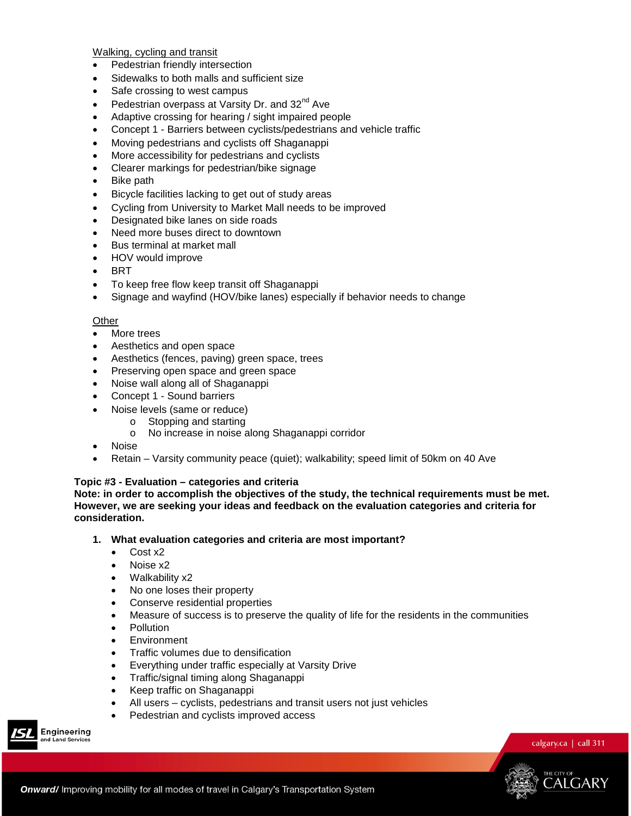### Walking, cycling and transit

- Pedestrian friendly intersection
- Sidewalks to both malls and sufficient size
- Safe crossing to west campus
- Pedestrian overpass at Varsity Dr. and  $32<sup>nd</sup>$  Ave
- Adaptive crossing for hearing / sight impaired people
- Concept 1 Barriers between cyclists/pedestrians and vehicle traffic
- Moving pedestrians and cyclists off Shaganappi
- More accessibility for pedestrians and cyclists
- Clearer markings for pedestrian/bike signage
- Bike path
- Bicycle facilities lacking to get out of study areas
- Cycling from University to Market Mall needs to be improved
- Designated bike lanes on side roads
- Need more buses direct to downtown
- Bus terminal at market mall
- HOV would improve
- BRT
- To keep free flow keep transit off Shaganappi
- Signage and wayfind (HOV/bike lanes) especially if behavior needs to change

### **Other**

- More trees
- Aesthetics and open space
- Aesthetics (fences, paving) green space, trees
- Preserving open space and green space
- Noise wall along all of Shaganappi
- Concept 1 Sound barriers
- Noise levels (same or reduce)
	- o Stopping and starting
	- o No increase in noise along Shaganappi corridor
- Noise
- Retain Varsity community peace (quiet); walkability; speed limit of 50km on 40 Ave

### **Topic #3 - Evaluation – categories and criteria**

**Note: in order to accomplish the objectives of the study, the technical requirements must be met. However, we are seeking your ideas and feedback on the evaluation categories and criteria for consideration.** 

- **1. What evaluation categories and criteria are most important?**
	- Cost x2
	- Noise x2
	- Walkability x2
	- No one loses their property
	- Conserve residential properties
	- Measure of success is to preserve the quality of life for the residents in the communities
	- Pollution
	- **Environment**
	- Traffic volumes due to densification
	- Everything under traffic especially at Varsity Drive
	- Traffic/signal timing along Shaganappi
	- Keep traffic on Shaganappi
	- All users cyclists, pedestrians and transit users not just vehicles
	- Pedestrian and cyclists improved access